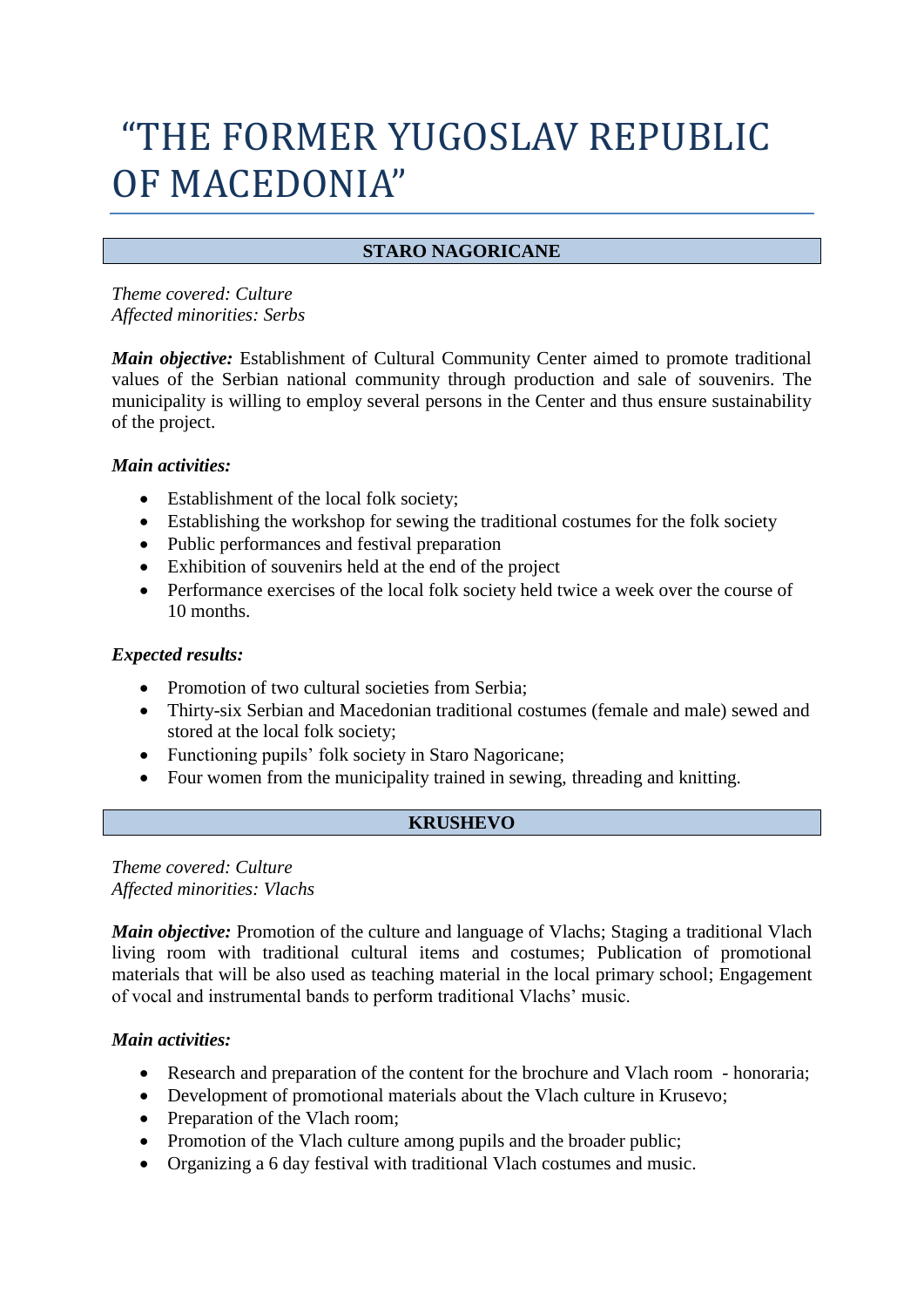# "THE FORMER YUGOSLAV REPUBLIC OF MACEDONIA"

# **STARO NAGORICANE**

*Theme covered: Culture Affected minorities: Serbs*

*Main objective:* Establishment of Cultural Community Center aimed to promote traditional values of the Serbian national community through production and sale of souvenirs. The municipality is willing to employ several persons in the Center and thus ensure sustainability of the project.

# *Main activities:*

- Establishment of the local folk society;
- Establishing the workshop for sewing the traditional costumes for the folk society
- Public performances and festival preparation
- Exhibition of souvenirs held at the end of the project
- Performance exercises of the local folk society held twice a week over the course of 10 months.

# *Expected results:*

- Promotion of two cultural societies from Serbia;
- Thirty-six Serbian and Macedonian traditional costumes (female and male) sewed and stored at the local folk society;
- Functioning pupils' folk society in Staro Nagoricane;
- Four women from the municipality trained in sewing, threading and knitting.

# **KRUSHEVO**

*Theme covered: Culture Affected minorities: Vlachs*

*Main objective:* Promotion of the culture and language of Vlachs; Staging a traditional Vlach living room with traditional cultural items and costumes; Publication of promotional materials that will be also used as teaching material in the local primary school; Engagement of vocal and instrumental bands to perform traditional Vlachs' music.

# *Main activities:*

- Research and preparation of the content for the brochure and Vlach room honoraria;
- Development of promotional materials about the Vlach culture in Krusevo;
- Preparation of the Vlach room;
- Promotion of the Vlach culture among pupils and the broader public;
- Organizing a 6 day festival with traditional Vlach costumes and music.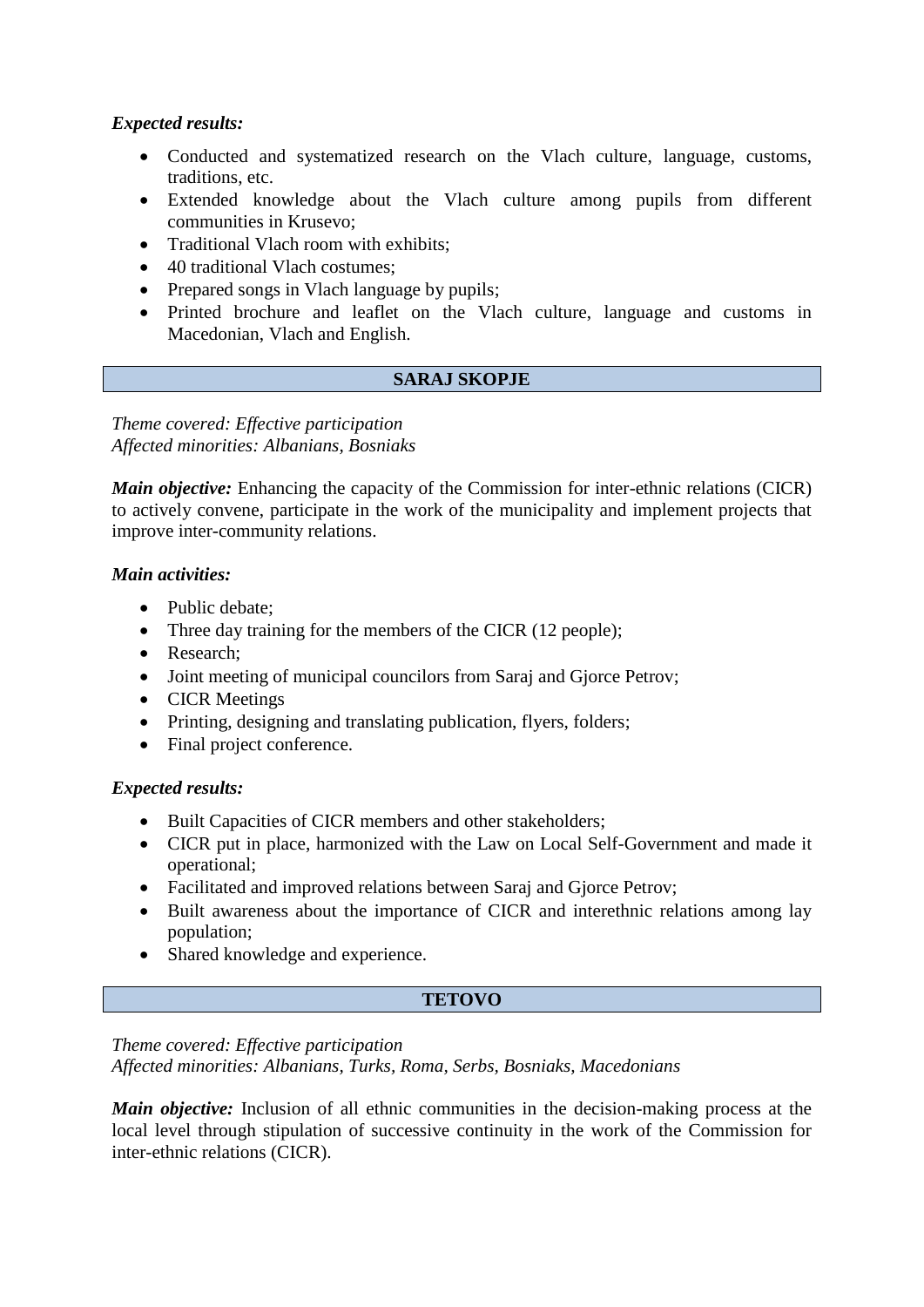# *Expected results:*

- Conducted and systematized research on the Vlach culture, language, customs, traditions, etc.
- Extended knowledge about the Vlach culture among pupils from different communities in Krusevo;
- Traditional Vlach room with exhibits:
- 40 traditional Vlach costumes:
- Prepared songs in Vlach language by pupils;
- Printed brochure and leaflet on the Vlach culture, language and customs in Macedonian, Vlach and English.

# **SARAJ SKOPJE**

*Theme covered: Effective participation Affected minorities: Albanians, Bosniaks*

*Main objective:* Enhancing the capacity of the Commission for inter-ethnic relations (CICR) to actively convene, participate in the work of the municipality and implement projects that improve inter-community relations.

# *Main activities:*

- Public debate;
- Three day training for the members of the CICR (12 people);
- Research;
- Joint meeting of municipal councilors from Saraj and Gjorce Petrov;
- CICR Meetings
- Printing, designing and translating publication, flyers, folders;
- Final project conference.

#### *Expected results:*

- Built Capacities of CICR members and other stakeholders;
- CICR put in place, harmonized with the Law on Local Self-Government and made it operational;
- Facilitated and improved relations between Saraj and Gjorce Petrov;
- Built awareness about the importance of CICR and interethnic relations among lay population;
- Shared knowledge and experience.

#### **TETOVO**

# *Theme covered: Effective participation Affected minorities: Albanians, Turks, Roma, Serbs, Bosniaks, Macedonians*

*Main objective:* Inclusion of all ethnic communities in the decision-making process at the local level through stipulation of successive continuity in the work of the Commission for inter-ethnic relations (CICR).